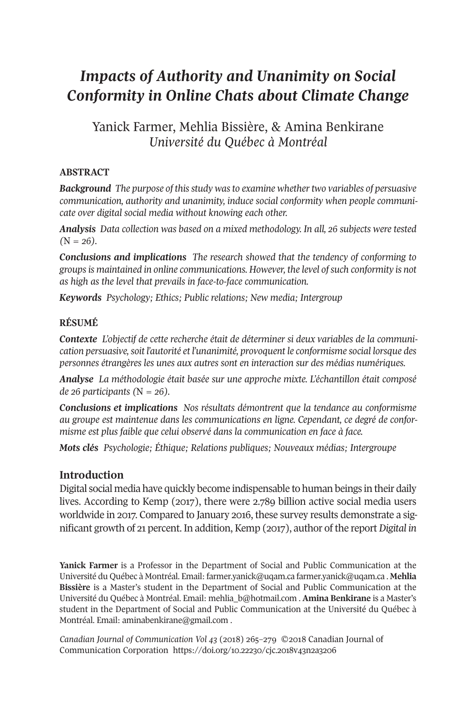# *Impacts of Authority and Unanimity on Social Conformity in Online Chats about Climate Change*

Yanick Farmer, Mehlia Bissière, & Amina Benkirane *Université du Québec à Montréal*

# **ABSTRACT**

*Background The purpose of thisstudy wasto examine whethertwo variables of persuasive communication, authority and unanimity, induce social conformity when people communicate over digital social media without knowing each other.*

*Analysis Data collection was based on a mixed methodology. In all, 26 subjects were tested*  $(N = 26)$ .

*Conclusions and implications The research showed that the tendency of conforming to groupsis maintained in online communications. However, the level ofsuch conformity is not as high as the level that prevails in face-to-face communication.*

*Keywords Psychology; Ethics; Public relations; New media; Intergroup*

# **RÉSUMÉ**

*Contexte L'objectif de cette recherche était de déterminer si deux variables de la communication persuasive,soit l'autorité et l'unanimité, provoquent le conformisme social lorsque des personnes étrangères les unes aux autres sont en interaction sur des médias numériques.*

*Analyse La méthodologie était basée sur une approche mixte. L'échantillon était composé de 26 participants (*N *= 26).*

*Conclusions et implications Nos résultats démontrent que la tendance au conformisme au groupe est maintenue dans les communications en ligne. Cependant, ce degré de conformisme est plus faible que celui observé dans la communication en face à face.*

*Mots clés Psychologie; Éthique; Relations publiques; Nouveaux médias; Intergroupe*

# **Introduction**

Digital social media have quickly become indispensable to human beings in their daily lives. According to Kemp (2017), there were 2.789 billion active social media users worldwide in 2017. Compared to January 2016, these survey results demonstrate a significant growth of 21 percent. In addition, Kemp (2017), author of the report *Digital in*

**Yanick Farmer** is a Professor in the Department of Social and Public Communication at the Université du Québec à Montréal. Email: [farmer.yanick@uqam.ca](mailto:farmer.yanick@uqam.ca) [farmer.yanick@uqam.ca](mailto:farmer.yanick@uqam.ca) . **Mehlia Bissière** is a Master's student in the Department of Social and Public Communication at the Université du Québec à Montréal. Email: [mehlia\\_b@hotmail.com](mailto:mehlia_b@hotmail.com) . **Amina Benkirane** is a Master's student in the Department of Social and Public Communication at the Université du Québec à Montréal. Email: [aminabenkirane@gmail.com](mailto:aminabenkirane@gmail.com) .

*Canadian Journal of [Communication](http://www.cjc-online.ca) Vol 43* (2018) 265–279 ©2018 Canadian Journal of Communication Corporation <https://doi.org/10.22230/cjc.2018v43n2a3206>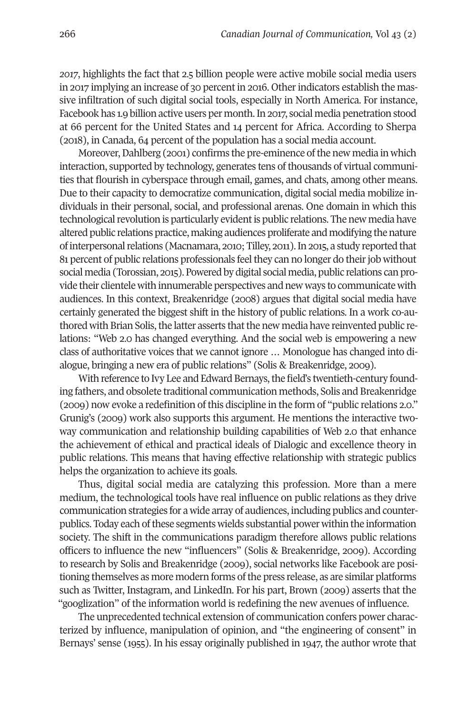*2017*, highlights the fact that 2.5 billion people were active mobile social media users in 2017 implying an increase of 30 percent in 2016. Other indicators establish the massive infiltration of such digital social tools, especially in North America. For instance, Facebook has 1.9 billion active users per month. In 2017, social media penetration stood at 66 percent for the United States and 14 percent for Africa. According to Sherpa (2018), in Canada, 64 percent of the population has a social media account.

Moreover, Dahlberg (2001) confirms the pre-eminence of the new media in which interaction, supported by technology, generates tens of thousands of virtual communities that flourish in cyberspace through email, games, and chats, among other means. Due to their capacity to democratize communication, digital social media mobilize individuals in their personal, social, and professional arenas. One domain in which this technological revolution is particularly evident is public relations. The new media have altered public relations practice, making audiences proliferate and modifying the nature of interpersonal relations (Macnamara, 2010; Tilley, 2011). In 2015, a study reported that 81 percent of public relations professionals feel they can no longer do their job without social media (Torossian, 2015). Powered by digital social media, public relations can provide their clientele with innumerable perspectives and new ways to communicate with audiences. In this context, Breakenridge (2008) argues that digital social media have certainly generated the biggest shift in the history of public relations. In a work co-authored with Brian Solis, the latter asserts that the new media have reinvented public relations: "Web 2.0 has changed everything. And the social web is empowering a new class of authoritative voices that we cannot ignore … Monologue has changed into dialogue, bringing a new era of public relations" (Solis & Breakenridge, 2009).

With reference to Ivy Lee and Edward Bernays, the field's twentieth-century founding fathers, and obsolete traditional communication methods, Solis and Breakenridge (2009) now evoke a redefinition of this discipline in the form of "public relations 2.0." Grunig's (2009) work also supports this argument. He mentions the interactive twoway communication and relationship building capabilities of Web 2.0 that enhance the achievement of ethical and practical ideals of Dialogic and excellence theory in public relations. This means that having effective relationship with strategic publics helps the organization to achieve its goals.

Thus, digital social media are catalyzing this profession. More than a mere medium, the technological tools have real influence on public relations as they drive communication strategies for a wide array of audiences, including publics and counterpublics. Today each ofthese segments wields substantial power within the information society. The shift in the communications paradigm therefore allows public relations officers to influence the new "influencers" (Solis & Breakenridge, 2009). According to research by Solis and Breakenridge (2009), social networks like Facebook are positioning themselves as more modern forms ofthe press release, as are similar platforms such as Twitter, Instagram, and LinkedIn. For his part, Brown (2009) asserts that the "googlization" of the information world is redefining the new avenues of influence.

The unprecedented technical extension of communication confers power characterized by influence, manipulation of opinion, and "the engineering of consent" in Bernays' sense (1955). In his essay originally published in 1947, the author wrote that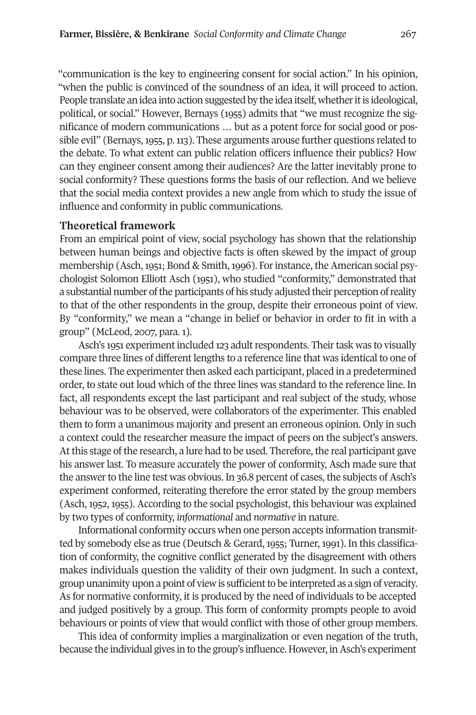"communication is the key to engineering consent for social action." In his opinion, "when the public is convinced of the soundness of an idea, it will proceed to action. People translate an idea into action suggested by the idea itself, whether it is ideological, political, or social." However, Bernays (1955) admits that "we must recognize the significance of modern communications … but as a potent force for social good or possible evil" (Bernays,1955, p.113). These arguments arouse further questions related to the debate. To what extent can public relation officers influence their publics? How can they engineer consent among their audiences? Are the latter inevitably prone to social conformity? These questions forms the basis of our reflection. And we believe that the social media context provides a new angle from which to study the issue of influence and conformity in public communications.

## **Theoretical framework**

From an empirical point of view, social psychology has shown that the relationship between human beings and objective facts is often skewed by the impact of group membership (Asch, 1951; Bond & Smith, 1996). For instance, the American social psychologist Solomon Elliott Asch (1951), who studied "conformity," demonstrated that a substantial number of the participants of his study adjusted their perception of reality to that of the other respondents in the group, despite their erroneous point of view. By "conformity," we mean a "change in belief or behavior in order to fit in with a group" (McLeod, 2007, para. 1).

Asch's 1951 experiment included 123 adult respondents. Their task was to visually compare three lines of different lengths to a reference line that was identical to one of these lines. The experimenter then asked each participant, placed in a predetermined order, to state out loud which of the three lines was standard to the reference line. In fact, all respondents except the last participant and real subject of the study, whose behaviour was to be observed, were collaborators of the experimenter. This enabled them to form a unanimous majority and present an erroneous opinion. Only in such a context could the researcher measure the impact of peers on the subject's answers. At this stage of the research, a lure had to be used. Therefore, the real participant gave his answer last. To measure accurately the power of conformity, Asch made sure that the answer to the line test was obvious. In 36.8 percent of cases, the subjects of Asch's experiment conformed, reiterating therefore the error stated by the group members (Asch, 1952, 1955). According to the social psychologist, this behaviour was explained by two types of conformity, *informational* and *normative* in nature.

Informational conformity occurs when one person accepts information transmitted by somebody else as true (Deutsch & Gerard, 1955; Turner, 1991). In this classification of conformity, the cognitive conflict generated by the disagreement with others makes individuals question the validity of their own judgment. In such a context, group unanimity upon a point of view is sufficientto be interpreted as a sign of veracity. As for normative conformity, it is produced by the need of individuals to be accepted and judged positively by a group. This form of conformity prompts people to avoid behaviours or points of view that would conflict with those of other group members.

This idea of conformity implies a marginalization or even negation of the truth, because the individual gives in to the group's influence. However, in Asch's experiment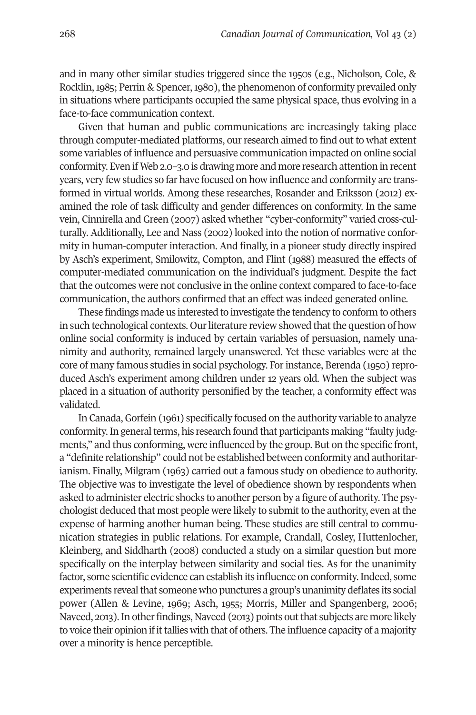and in many other similar studies triggered since the 1950s (e.g., Nicholson*,* Cole, & Rocklin, 1985; Perrin & Spencer, 1980), the phenomenon of conformity prevailed only in situations where participants occupied the same physical space, thus evolving in a face-to-face communication context.

Given that human and public communications are increasingly taking place through computer-mediated platforms, ourresearch aimed to find out to what extent some variables of influence and persuasive communication impacted on online social conformity. Even if Web 2.0–3.0 is drawing more and more research attention in recent years, very few studies so far have focused on how influence and conformity are transformed in virtual worlds. Among these researches, Rosander and Eriksson (2012) examined the role of task difficulty and gender differences on conformity. In the same vein, Cinnirella and Green (2007) asked whether "cyber-conformity" varied cross-culturally. Additionally, Lee and Nass (2002) looked into the notion of normative conformity in human-computer interaction. And finally, in a pioneer study directly inspired by Asch's experiment, Smilowitz, Compton, and Flint (1988) measured the effects of computer-mediated communication on the individual's judgment. Despite the fact that the outcomes were not conclusive in the online context compared to face-to-face communication, the authors confirmed that an effect was indeed generated online.

These findings made us interested to investigate the tendency to conform to others in such technological contexts. Our literature review showed that the question of how online social conformity is induced by certain variables of persuasion, namely unanimity and authority, remained largely unanswered. Yet these variables were at the core of many famous studies in social psychology. Forinstance, Berenda (1950) reproduced Asch's experiment among children under 12 years old. When the subject was placed in a situation of authority personified by the teacher, a conformity effect was validated.

In Canada,Gorfein (1961) specifically focused on the authority variable to analyze conformity. In general terms, his research found that participants making "faulty judgments," and thus conforming, were influenced by the group. But on the specific front, a "definite relationship" could not be established between conformity and authoritarianism. Finally, Milgram (1963) carried out a famous study on obedience to authority. The objective was to investigate the level of obedience shown by respondents when asked to administer electric shocks to another person by a figure of authority. The psychologist deduced that most people were likely to submit to the authority, even at the expense of harming another human being. These studies are still central to communication strategies in public relations. For example, Crandall, Cosley, Huttenlocher, Kleinberg, and Siddharth (2008) conducted a study on a similar question but more specifically on the interplay between similarity and social ties. As for the unanimity factor, some scientific evidence can establish its influence on conformity. Indeed, some experiments reveal that someone who punctures a group's unanimity deflates its social power (Allen & Levine, 1969; Asch, 1955; Morris, Miller and Spangenberg, 2006; Naveed, 2013). In other findings, Naveed (2013) points out that subjects are more likely to voice their opinion if it tallies with that of others. The influence capacity of a majority over a minority is hence perceptible.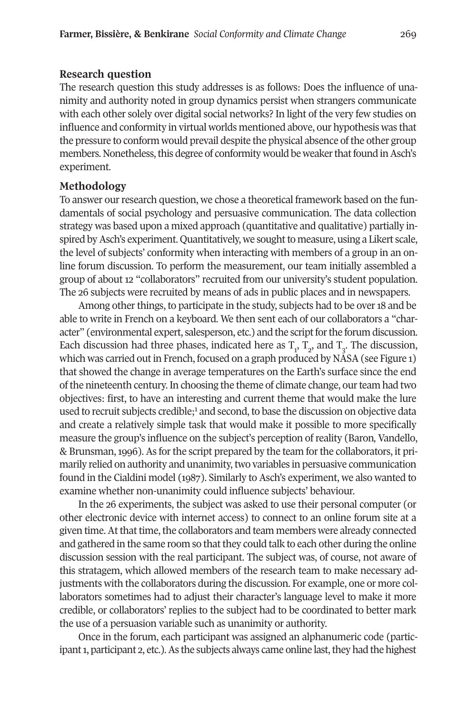# **Research question**

The research question this study addresses is as follows: Does the influence of unanimity and authority noted in group dynamics persist when strangers communicate with each other solely over digital social networks? In light of the very few studies on influence and conformity in virtual worlds mentioned above, our hypothesis was that the pressure to conform would prevail despite the physical absence ofthe other group members. Nonetheless, this degree of conformity would be weaker that found in Asch's experiment.

## **Methodology**

To answer our research question, we chose a theoretical framework based on the fundamentals of social psychology and persuasive communication. The data collection strategy was based upon a mixed approach (quantitative and qualitative) partially inspired by Asch's experiment. Quantitatively, we sought to measure, using a Likert scale, the level of subjects' conformity when interacting with members of a group in an online forum discussion. To perform the measurement, our team initially assembled a group of about 12 "collaborators" recruited from our university's student population. The 26 subjects were recruited by means of ads in public places and in newspapers.

Among other things, to participate in the study, subjects had to be over 18 and be able to write in French on a keyboard. We then sent each of our collaborators a "character" (environmental expert, salesperson, etc.) and the script for the forum discussion. Each discussion had three phases, indicated here as  $T_1$ ,  $T_2$ , and  $T_3$ . The discussion, which was carried out in French, focused on a graph produced by NASA (see Figure 1) that showed the change in average temperatures on the Earth's surface since the end ofthe nineteenth century.In choosing the theme of climate change, ourteam had two objectives: first, to have an interesting and current theme that would make the lure used to recruit subjects credible;<sup>1</sup> and second, to base the discussion on objective data and create a relatively simple task that would make it possible to more specifically measure the group's influence on the subject's perception ofreality (Baron*,* Vandello, & Brunsman, 1996). As for the script prepared by the team for the collaborators, it primarily relied on authority and unanimity,two variables in persuasive communication found in the Cialdini model (1987). Similarly to Asch's experiment, we also wanted to examine whether non-unanimity could influence subjects' behaviour.

In the 26 experiments, the subject was asked to use their personal computer (or other electronic device with internet access) to connect to an online forum site at a given time. At that time, the collaborators and team members were already connected and gathered in the same room so that they could talk to each other during the online discussion session with the real participant. The subject was, of course, not aware of this stratagem, which allowed members of the research team to make necessary adjustments with the collaborators during the discussion. For example, one or more collaborators sometimes had to adjust their character's language level to make it more credible, or collaborators' replies to the subject had to be coordinated to better mark the use of a persuasion variable such as unanimity or authority.

Once in the forum, each participant was assigned an alphanumeric code (participant 1, participant 2, etc.). As the subjects always came online last, they had the highest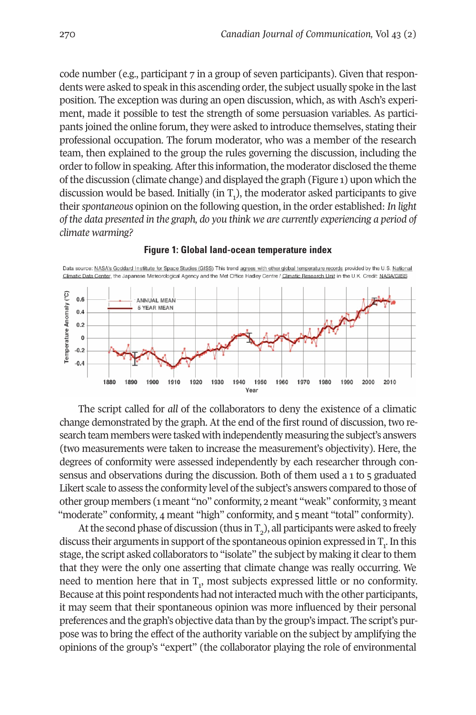code number (e.g., participant 7 in a group of seven participants). Given that respondents were asked to speak in this ascending order, the subject usually spoke in the last position. The exception was during an open discussion, which, as with Asch's experiment, made it possible to test the strength of some persuasion variables. As participants joined the online forum, they were asked to introduce themselves, stating their professional occupation. The forum moderator, who was a member of the research team, then explained to the group the rules governing the discussion, including the order to follow in speaking. After this information, the moderator disclosed the theme ofthe discussion (climate change) and displayed the graph (Figure 1) upon which the discussion would be based. Initially (in  $T_1$ ), the moderator asked participants to give their*spontaneous* opinion on the following question, in the order established: *In light of the data presented in the graph, do you think we are currently experiencing a period of climate warming?*



#### **Figure 1: Global land-ocean temperature index**

The script called for *all* of the collaborators to deny the existence of a climatic change demonstrated by the graph. At the end of the first round of discussion, two research team members were tasked with independently measuring the subject's answers (two measurements were taken to increase the measurement's objectivity). Here, the degrees of conformity were assessed independently by each researcher through consensus and observations during the discussion. Both of them used a 1 to  $\frac{1}{5}$  graduated Likert scale to assess the conformity level of the subject's answers compared to those of other group members (1 meant "no" conformity, 2 meant "weak" conformity, 3 meant "moderate" conformity, 4 meant "high" conformity, and 5 meant "total" conformity).

At the second phase of discussion (thus in  $T_2$ ), all participants were asked to freely discuss their arguments in support of the spontaneous opinion expressed in  $T_r$ . In this stage, the script asked collaborators to "isolate" the subject by making it clear to them that they were the only one asserting that climate change was really occurring. We need to mention here that in  $T<sub>1</sub>$ , most subjects expressed little or no conformity. Because at this point respondents had not interacted much with the other participants, it may seem that their spontaneous opinion was more influenced by their personal preferences and the graph's objective data than by the group's impact. The script's purpose was to bring the effect of the authority variable on the subject by amplifying the opinions of the group's "expert" (the collaborator playing the role of environmental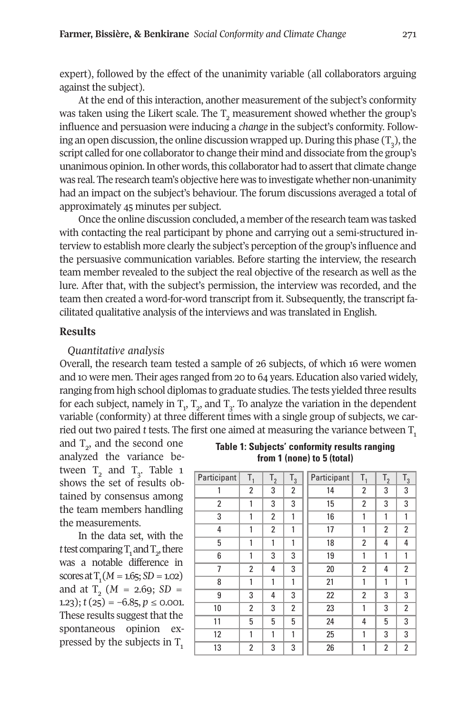expert), followed by the effect of the unanimity variable (all collaborators arguing against the subject).

At the end of this interaction, another measurement of the subject's conformity was taken using the Likert scale. The  $T<sub>2</sub>$  measurement showed whether the group's influence and persuasion were inducing a *change* in the subject's conformity. Following an open discussion, the online discussion wrapped up. During this phase  $(\text{T}_3)$ , the script called for one collaborator to change their mind and dissociate from the group's unanimous opinion. In other words, this collaborator had to assert that climate change was real. The research team's objective here was to investigate whether non-unanimity had an impact on the subject's behaviour. The forum discussions averaged a total of approximately 45 minutes per subject.

Once the online discussion concluded, a member of the research team was tasked with contacting the real participant by phone and carrying out a semi-structured interview to establish more clearly the subject's perception of the group's influence and the persuasive communication variables. Before starting the interview, the research team member revealed to the subject the real objective of the research as well as the lure. After that, with the subject's permission, the interview was recorded, and the team then created a word-for-word transcript from it. Subsequently, the transcript facilitated qualitative analysis of the interviews and was translated in English.

## **Results**

#### *Quantitative analysis*

Overall, the research team tested a sample of 26 subjects, of which 16 were women and 10 were men. Their ages ranged from 20 to 64 years. Education also varied widely, ranging from high school diplomas to graduate studies. The tests yielded three results for each subject, namely in  $T_1$ ,  $T_2$ , and  $T_3$ . To analyze the variation in the dependent variable (conformity) at three different times with a single group of subjects, we carried out two paired *t* tests. The first one aimed at measuring the variance between T<sub>1</sub>

and  $T_{2}$ , and the second one analyzed the variance between  $T_2$  and  $T_3$ . Table 1 shows the set of results obtained by consensus among the team members handling the measurements.

In the data set, with the *t* test comparing  $T_1$  and  $T_2$ , there was a notable difference in scores at  $T_1(M = 1.65; SD = 1.02)$ and at  $T_2$  (*M* = 2.69; *SD* = 1.23);  $t(25) = -6.85$ ,  $p \le 0.001$ . These results suggest that the spontaneous opinion expressed by the subjects in  $T<sub>1</sub>$ 

**Table 1: Subjects' conformity results ranging from 1 (none) to 5 (total)**

| Participant | Τ,             | T <sub>2</sub> | $T_3$ | Participant | $T_1$ | T <sub>2</sub> | $T_3$ |
|-------------|----------------|----------------|-------|-------------|-------|----------------|-------|
| 1           | $\overline{2}$ | 3              | 2     | 14          | 2     | 3              | 3     |
| 2           | 1              | 3              | 3     | 15          | 2     | 3              | 3     |
| 3           | 1              | 2              | 1     | 16          | 1     | 1              | 1     |
| 4           | 1              | $\overline{2}$ | 1     | 17          | 1     | 2              | 2     |
| 5           | 1              | 1              | 1     | 18          | 2     | 4              | 4     |
| 6           | 1              | 3              | 3     | 19          | 1     | 1              | 1     |
| 7           | $\overline{2}$ | 4              | 3     | 20          | 2     | 4              | 2     |
| 8           | 1              | 1              | 1     | 21          | 1     | 1              | 1     |
| 9           | 3              | 4              | 3     | 22          | 2     | 3              | 3     |
| 10          | 2              | 3              | 2     | 23          | 1     | 3              | 2     |
| 11          | 5              | 5              | 5     | 24          | 4     | 5              | 3     |
| 12          | 1              | 1              | 1     | 25          | 1     | 3              | 3     |
| 13          | $\overline{2}$ | 3              | 3     | 26          | 1     | 2              | 2     |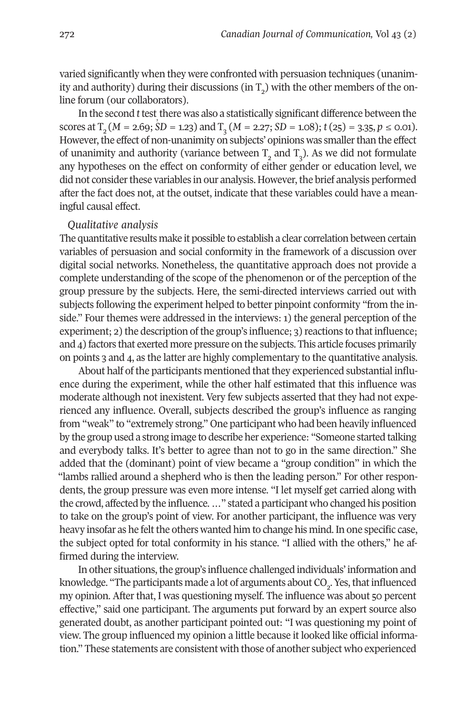varied significantly when they were confronted with persuasion techniques (unanimity and authority) during their discussions (in  $T<sub>2</sub>$ ) with the other members of the online forum (our collaborators).

In the second *t*test , there was also a statistically significant difference between the scores at  $T_2 (M = 2.69; SD = 1.23)$  and  $T_3 (M = 2.27; SD = 1.08)$ ;  $t (25) = 3.35, p \le 0.01$ . However, the effect of non-unanimity on subjects' opinions was smaller than the effect of unanimity and authority (variance between  $T_2$  and  $T_3$ ). As we did not formulate any hypotheses on the effect on conformity of either gender or education level, we did not consider these variables in our analysis. However, the brief analysis performed after the fact does not, at the outset, indicate that these variables could have a meaningful causal effect.

## *Qualitative analysis*

The quantitative results make it possible to establish a clear correlation between certain variables of persuasion and social conformity in the framework of a discussion over digital social networks. Nonetheless, the quantitative approach does not provide a complete understanding of the scope of the phenomenon or of the perception of the group pressure by the subjects. Here, the semi-directed interviews carried out with subjects following the experiment helped to better pinpoint conformity "from the inside." Four themes were addressed in the interviews: 1) the general perception of the experiment;  $2)$  the description of the group's influence;  $3)$  reactions to that influence; and 4) factors that exerted more pressure on the subjects. This article focuses primarily on points 3 and 4, as the latter are highly complementary to the quantitative analysis.

About half of the participants mentioned that they experienced substantial influence during the experiment, while the other half estimated that this influence was moderate although not inexistent. Very few subjects asserted that they had not experienced any influence. Overall, subjects described the group's influence as ranging from "weak" to "extremely strong." One participant who had been heavily influenced by the group used a strong image to describe her experience: "Someone started talking and everybody talks. It's better to agree than not to go in the same direction." She added that the (dominant) point of view became a "group condition" in which the "lambs rallied around a shepherd who is then the leading person." For other respondents, the group pressure was even more intense. "I let myself get carried along with the crowd, affected by the influence.…" stated a participant who changed his position to take on the group's point of view. For another participant, the influence was very heavy insofar as he felt the others wanted him to change his mind. In one specific case, the subject opted for total conformity in his stance. "I allied with the others," he affirmed during the interview.

In other situations, the group's influence challenged individuals' information and knowledge. "The participants made a lot of arguments about  $\mathrm{CO}_2$ . Yes, that influenced my opinion. After that, I was questioning myself. The influence was about 50 percent effective," said one participant. The arguments put forward by an expert source also generated doubt, as another participant pointed out: "I was questioning my point of view. The group influenced my opinion a little because it looked like official information." These statements are consistent with those of another subject who experienced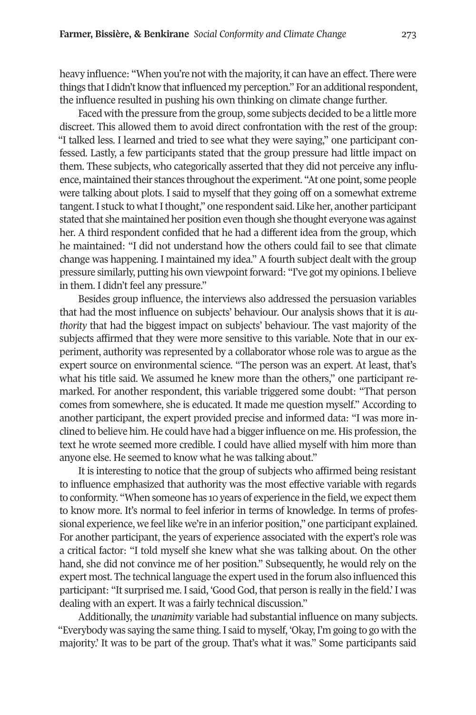heavy influence: "When you're not with the majority, it can have an effect. There were things that I didn't know that influenced my perception." For an additional respondent, the influence resulted in pushing his own thinking on climate change further.

Faced with the pressure from the group, some subjects decided to be a little more discreet. This allowed them to avoid direct confrontation with the rest of the group: "I talked less. I learned and tried to see what they were saying," one participant confessed. Lastly, a few participants stated that the group pressure had little impact on them. These subjects, who categorically asserted that they did not perceive any influence, maintained their stances throughout the experiment. "At one point, some people were talking about plots. I said to myself that they going off on a somewhat extreme tangent. I stuck to what I thought," one respondent said. Like her, another participant stated that she maintained her position even though she thought everyone was against her. A third respondent confided that he had a different idea from the group, which he maintained: "I did not understand how the others could fail to see that climate change was happening. I maintained my idea." A fourth subject dealt with the group pressure similarly, putting his own viewpoint forward: "I've got my opinions. I believe in them. I didn't feel any pressure."

Besides group influence, the interviews also addressed the persuasion variables that had the most influence on subjects' behaviour. Our analysis shows that it is *authority* that had the biggest impact on subjects' behaviour. The vast majority of the subjects affirmed that they were more sensitive to this variable. Note that in our experiment, authority was represented by a collaborator whose role was to argue as the expert source on environmental science. "The person was an expert. At least, that's what his title said. We assumed he knew more than the others," one participant remarked. For another respondent, this variable triggered some doubt: "That person comes from somewhere, she is educated. It made me question myself." According to another participant, the expert provided precise and informed data: "I was more inclined to believe him. He could have had a bigger influence on me. His profession, the text he wrote seemed more credible. I could have allied myself with him more than anyone else. He seemed to know what he was talking about."

It is interesting to notice that the group of subjects who affirmed being resistant to influence emphasized that authority was the most effective variable with regards to conformity. "When someone has 10 years of experience in the field, we expectthem to know more. It's normal to feel inferior in terms of knowledge. In terms of professional experience, we feel like we're in an inferior position," one participant explained. For another participant, the years of experience associated with the expert's role was a critical factor: "I told myself she knew what she was talking about. On the other hand, she did not convince me of her position." Subsequently, he would rely on the expert most. The technical language the expert used in the forum also influenced this participant: "It surprised me. I said, 'Good God, that person is really in the field.' I was dealing with an expert. It was a fairly technical discussion."

Additionally, the *unanimity* variable had substantial influence on many subjects. "Everybody was saying the same thing. I said to myself, 'Okay, I'm going to go with the majority.' It was to be part of the group. That's what it was." Some participants said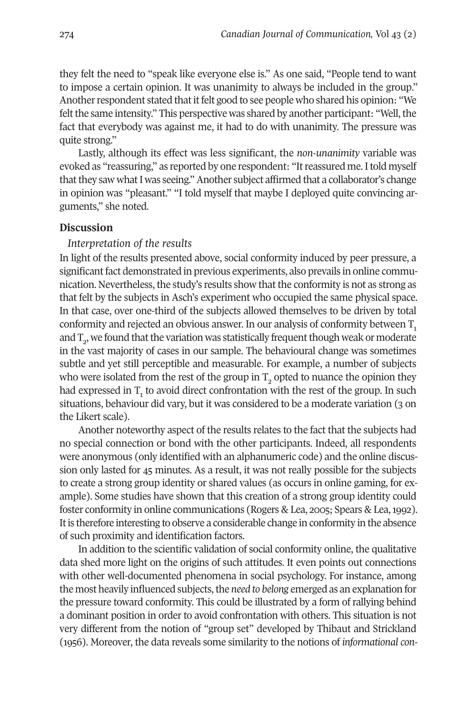they felt the need to "speak like everyone else is." As one said, "People tend to want to impose a certain opinion. It was unanimity to always be included in the group." Another respondent stated that it felt good to see people who shared his opinion: "We felt the same intensity." This perspective was shared by another participant: "Well, the fact that everybody was against me, it had to do with unanimity. The pressure was quite strong."

Lastly, although its effect was less significant, the *non-unanimity* variable was evoked as "reassuring," as reported by one respondent: "Itreassured me. Itold myself that they saw what I was seeing." Another subject affirmed that a collaborator's change in opinion was "pleasant." "I told myself that maybe I deployed quite convincing arguments," she noted.

## **Discussion**

## *Interpretation of the results*

In light of the results presented above, social conformity induced by peer pressure, a significant fact demonstrated in previous experiments, also prevails in online communication. Nevertheless, the study's results show that the conformity is not as strong as that felt by the subjects in Asch's experiment who occupied the same physical space. In that case, over one-third of the subjects allowed themselves to be driven by total conformity and rejected an obvious answer. In our analysis of conformity between  $T<sub>1</sub>$ and  $\text{T}_2$ , we found that the variation was statistically frequent though weak or moderate in the vast majority of cases in our sample. The behavioural change was sometimes subtle and yet still perceptible and measurable. For example, a number of subjects who were isolated from the rest of the group in  $T<sub>2</sub>$  opted to nuance the opinion they had expressed in  $T<sub>1</sub>$  to avoid direct confrontation with the rest of the group. In such situations, behaviour did vary, but it was considered to be a moderate variation (3 on the Likert scale).

Another noteworthy aspect of the results relates to the fact that the subjects had no special connection or bond with the other participants. Indeed, all respondents were anonymous (only identified with an alphanumeric code) and the online discussion only lasted for 45 minutes. As a result, it was not really possible for the subjects to create a strong group identity or shared values (as occurs in online gaming, for example). Some studies have shown that this creation of a strong group identity could foster conformity in online communications (Rogers & Lea, 2005; Spears & Lea,1992). Itis therefore interesting to observe a considerable change in conformity in the absence of such proximity and identification factors.

In addition to the scientific validation of social conformity online, the qualitative data shed more light on the origins of such attitudes. It even points out connections with other well-documented phenomena in social psychology. For instance, among the most heavily influenced subjects,the *need to belong* emerged as an explanation for the pressure toward conformity. This could be illustrated by a form of rallying behind a dominant position in order to avoid confrontation with others. This situation is not very different from the notion of "group set" developed by Thibaut and Strickland (1956). Moreover, the data reveals some similarity to the notions of *informational con-*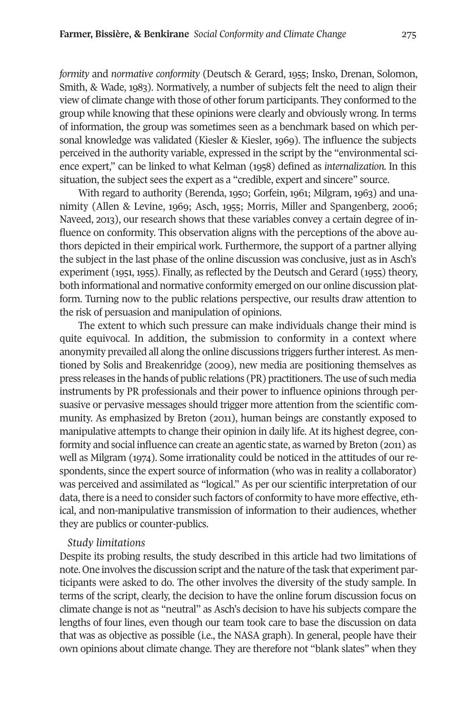*formity* and *normative conformity* (Deutsch & Gerard, 1955; Insko, Drenan, Solomon, Smith, & Wade, 1983). Normatively, a number of subjects felt the need to align their view of climate change with those of otherforum participants. They conformed to the group while knowing that these opinions were clearly and obviously wrong. In terms of information, the group was sometimes seen as a benchmark based on which personal knowledge was validated (Kiesler & Kiesler, 1969). The influence the subjects perceived in the authority variable, expressed in the script by the "environmental science expert," can be linked to what Kelman (1958) defined as *internalization.* In this situation, the subject sees the expert as a "credible, expert and sincere" source.

With regard to authority (Berenda, 1950; Gorfein, 1961; Milgram, 1963) and unanimity (Allen & Levine, 1969; Asch, 1955; Morris, Miller and Spangenberg, 2006; Naveed, 2013), our research shows that these variables convey a certain degree of influence on conformity. This observation aligns with the perceptions of the above authors depicted in their empirical work. Furthermore, the support of a partner allying the subject in the last phase of the online discussion was conclusive, just as in Asch's experiment (1951, 1955). Finally, as reflected by the Deutsch and Gerard (1955) theory, both informational and normative conformity emerged on our online discussion platform. Turning now to the public relations perspective, our results draw attention to the risk of persuasion and manipulation of opinions.

The extent to which such pressure can make individuals change their mind is quite equivocal. In addition, the submission to conformity in a context where anonymity prevailed all along the online discussions triggers further interest. As mentioned by Solis and Breakenridge (2009), new media are positioning themselves as press releases in the hands of public relations (PR) practitioners. The use of such media instruments by PR professionals and their power to influence opinions through persuasive or pervasive messages should trigger more attention from the scientific community. As emphasized by Breton (2011), human beings are constantly exposed to manipulative attempts to change their opinion in daily life. At its highest degree, conformity and social influence can create an agentic state, as warned by Breton (2011) as well as Milgram (1974). Some irrationality could be noticed in the attitudes of our respondents, since the expert source of information (who was in reality a collaborator) was perceived and assimilated as "logical." As per our scientific interpretation of our data, there is a need to consider such factors of conformity to have more effective, ethical, and non-manipulative transmission of information to their audiences, whether they are publics or counter-publics.

### *Study limitations*

Despite its probing results, the study described in this article had two limitations of note. One involves the discussion script and the nature of the task that experiment participants were asked to do. The other involves the diversity of the study sample. In terms of the script, clearly, the decision to have the online forum discussion focus on climate change is not as "neutral" as Asch's decision to have his subjects compare the lengths of four lines, even though our team took care to base the discussion on data that was as objective as possible (i.e., the NASA graph). In general, people have their own opinions about climate change. They are therefore not "blank slates" when they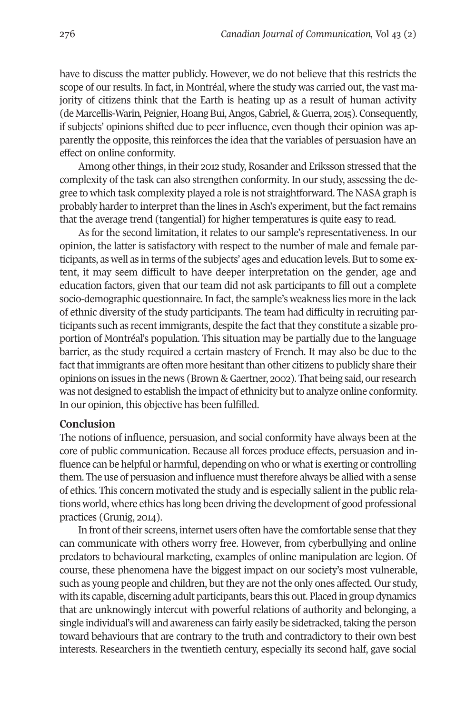have to discuss the matter publicly. However, we do not believe that this restricts the scope of our results. In fact, in Montréal, where the study was carried out, the vast majority of citizens think that the Earth is heating up as a result of human activity (de Marcellis-Warin*,* Peignier, HoangBui,Angos,Gabriel,&Guerra, 2015).Consequently, if subjects' opinions shifted due to peer influence, even though their opinion was apparently the opposite, this reinforces the idea that the variables of persuasion have an effect on online conformity.

Among other things, in their 2012 study, Rosander and Eriksson stressed that the complexity of the task can also strengthen conformity. In our study, assessing the degree to which task complexity played a role is not straightforward. The NASA graph is probably harder to interpret than the lines in Asch's experiment, but the fact remains that the average trend (tangential) for higher temperatures is quite easy to read.

As for the second limitation, it relates to our sample's representativeness. In our opinion, the latter is satisfactory with respect to the number of male and female participants, as well as in terms of the subjects' ages and education levels. But to some extent, it may seem difficult to have deeper interpretation on the gender, age and education factors, given that our team did not ask participants to fill out a complete socio-demographic questionnaire. In fact, the sample's weakness lies more in the lack of ethnic diversity of the study participants. The team had difficulty in recruiting participants such as recent immigrants, despite the fact that they constitute a sizable proportion of Montréal's population. This situation may be partially due to the language barrier, as the study required a certain mastery of French. It may also be due to the fact that immigrants are often more hesitant than other citizens to publicly share their opinions on issues in the news (Brown & Gaertner, 2002). That being said, ourresearch was not designed to establish the impact of ethnicity but to analyze online conformity. In our opinion, this objective has been fulfilled.

# **Conclusion**

The notions of influence, persuasion, and social conformity have always been at the core of public communication. Because all forces produce effects, persuasion and influence can be helpful or harmful, depending on who or what is exerting or controlling them. The use of persuasion and influence must therefore always be allied with a sense of ethics. This concern motivated the study and is especially salient in the public relations world, where ethics has long been driving the development of good professional practices (Grunig, 2014).

In front of their screens, internet users often have the comfortable sense that they can communicate with others worry free. However, from cyberbullying and online predators to behavioural marketing, examples of online manipulation are legion. Of course, these phenomena have the biggest impact on our society's most vulnerable, such as young people and children, but they are not the only ones affected. Our study, with its capable, discerning adult participants, bears this out. Placed in group dynamics that are unknowingly intercut with powerful relations of authority and belonging, a single individual's will and awareness can fairly easily be sidetracked, taking the person toward behaviours that are contrary to the truth and contradictory to their own best interests. Researchers in the twentieth century, especially its second half, gave social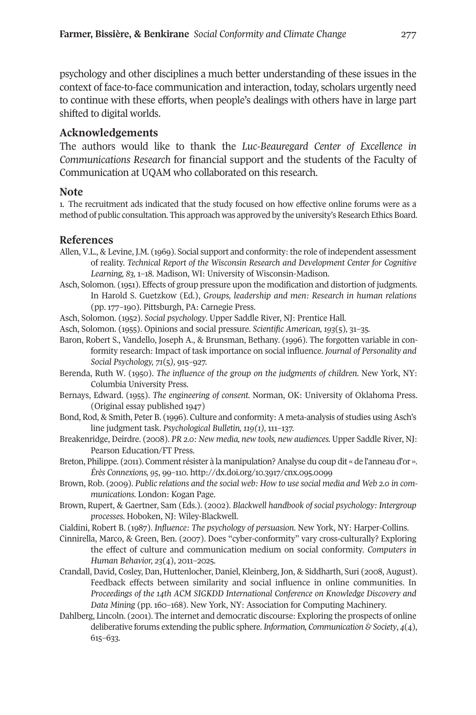psychology and other disciplines a much better understanding of these issues in the context of face-to-face communication and interaction, today, scholars urgently need to continue with these efforts, when people's dealings with others have in large part shifted to digital worlds.

# **Acknowledgements**

The authors would like to thank the *Luc-Beauregard Center of Excellence in Communications Research* for financial support and the students of the Faculty of Communication at UQAM who collaborated on this research.

# **Note**

1. The recruitment ads indicated that the study focused on how effective online forums were as a method of public consultation. This approach was approved by the university's Research Ethics Board.

# **References**

- Allen, V.L., & Levine, J.M. (1969). Social support and conformity: the role of independent assessment of reality. *Technical Report of the Wisconsin Research and Development Center for Cognitive Learning, 83,* 1–18. Madison, WI: University of Wisconsin-Madison.
- Asch, Solomon. (1951). Effects of group pressure upon the modification and distortion of judgments. In Harold S. Guetzkow (Ed.), *Groups, leadership and men: Research in human relations* (pp. 177–190). Pittsburgh, PA: Carnegie Press.
- Asch, Solomon. (1952). *Social psychology*. Upper Saddle River, NJ: Prentice Hall.
- Asch, Solomon. (1955). Opinions and social pressure. *Scientific American, 193*(5)*,* 31–35.
- Baron, Robert S., Vandello, Joseph A., & Brunsman, Bethany. (1996). The forgotten variable in conformity research: Impact of task importance on social influence. *Journal of Personality and Social Psychology, 71*(5*),* 915–927.
- Berenda, Ruth W. (1950). *The influence of the group on the judgments of children*. New York, NY: Columbia University Press.
- Bernays, Edward. (1955). *The engineering of consent.* Norman, OK: University of Oklahoma Press. (Original essay published 1947)
- Bond, Rod, & Smith, Peter B. (1996). Culture and conformity: A meta-analysis of studies using Asch's line judgment task. *Psychological Bulletin, 119(1),* 111–137.
- Breakenridge, Deirdre. (2008). *PR 2.0: New media, new tools, new audiences.* Upper Saddle River, NJ: Pearson Education/FT Press.
- Breton, Philippe. (2011). Comment résister à la manipulation? Analyse du coup dit « de l'anneau d'or ». *Érès Connexions, 95*, 99–110. <http://dx.doi.org/10.3917/cnx.095.0099>
- Brown, Rob. (2009). *Public relations and the social web: How to use social media and Web 2.0 in communications.* London: Kogan Page.
- Brown, Rupert, & Gaertner, Sam (Eds.). (2002). *Blackwell handbook of social psychology: Intergroup processes*. Hoboken, NJ: Wiley-Blackwell.
- Cialdini, Robert B. (1987). *Influence: The psychology of persuasion*. New York, NY: Harper-Collins.
- Cinnirella, Marco, & Green, Ben. (2007). Does "cyber-conformity" vary cross-culturally? Exploring the effect of culture and communication medium on social conformity. *Computers in Human Behavior, 23*(4), 2011–2025.
- Crandall, David, Cosley, Dan, Huttenlocher, Daniel, Kleinberg, Jon, & Siddharth, Suri (2008, August). Feedback effects between similarity and social influence in online communities. In *Proceedings of the 14th ACM SIGKDD International Conference on Knowledge Discovery and Data Mining* (pp. 160–168). New York, NY: Association for Computing Machinery.
- Dahlberg, Lincoln. (2001). The internet and democratic discourse: Exploring the prospects of online deliberative forums extending the public sphere. *Information, Communication & Society*, *4*(4), 615–633.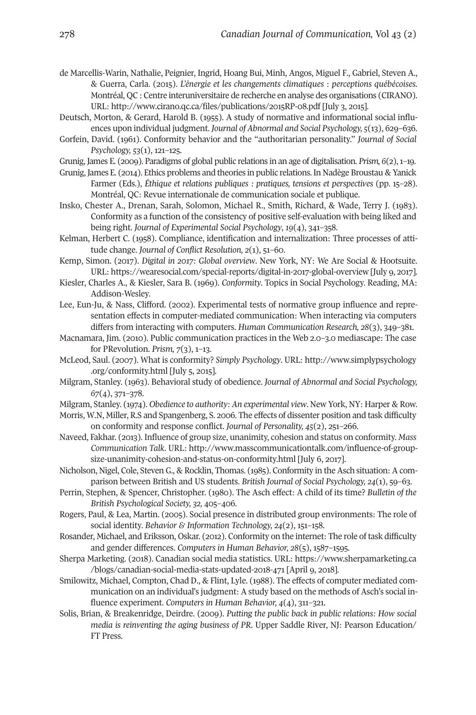- de Marcellis-Warin, Nathalie, Peignier, Ingrid, Hoang Bui, Minh, Angos, Miguel F., Gabriel, Steven A., & Guerra, Carla. (2015). *L'énergie et les changements climatiques* : *perceptions québécoises.* Montréal, QC : Centre interuniversitaire de recherche en analyse des organisations (CIRANO). URL: <http://www.cirano.qc.ca/files/publications/2015RP-08.pdf> [July 3, 2015].
- Deutsch, Morton, & Gerard, Harold B. (1955). A study of normative and informational social influences upon individual judgment. *Journal of Abnormal and Social Psychology, 5*(13), 629–636.
- Gorfein, David. (1961). Conformity behavior and the "authoritarian personality." *Journal of Social Psychology, 53*(1), 121–125.
- Grunig, James E. (2009). Paradigms of global public relations in an age of digitalisation. *Prism, 6*(2),1–19.
- Grunig, James E. (2014). Ethics problems and theories in public relations. In Nadège Broustau & Yanick Farmer (Eds.), *Éthique et relations publiques : pratiques, tensions et perspectives* (pp. 15–28). Montréal, QC: Revue internationale de communication sociale et publique.
- Insko, Chester A., Drenan, Sarah, Solomon, Michael R., Smith, Richard, & Wade, Terry J. (1983). Conformity as a function of the consistency of positive self-evaluation with being liked and being right. *Journal of Experimental Social Psychology*, *19*(4), 341–358.
- Kelman, Herbert C. (1958). Compliance, identification and internalization: Three processes of attitude change. *Journal of Conflict Resolution, 2*(1), 51–60.
- Kemp, Simon. (2017). *Digital in 2017: Global overview*. New York, NY: We Are Social & Hootsuite. URL: <https://wearesocial.com/special-reports/digital-in-2017-global-overview> [July 9, 2017].
- Kiesler, Charles A., & Kiesler, Sara B. (1969). *Conformity*. Topics in Social Psychology. Reading, MA: Addison-Wesley.
- Lee, Eun-Ju, & Nass, Clifford. (2002). Experimental tests of normative group influence and representation effects in computer-mediated communication: When interacting via computers differs from interacting with computers. *Human Communication Research, 28*(3), 349–381.
- Macnamara, Jim. (2010). Public communication practices in the Web 2.0–3.0 mediascape: The case for PRevolution. *Prism, 7*(3), 1–13.
- McLeod, Saul. (2007). What is conformity? *Simply Psychology*. URL: [http://www.simplypsychology](http://www.simplypsychology.org/conformity.html) [.org/conformity.html](http://www.simplypsychology.org/conformity.html) [July 5, 2015].
- Milgram, Stanley. (1963). Behavioral study of obedience. *Journal of Abnormal and Social Psychology, 67*(4), 371–378.
- Milgram, Stanley. (1974). *Obedience to authority: An experimental view*. New York, NY: Harper & Row.
- Morris, W.N, Miller, R.S and Spangenberg, S. 2006. The effects of dissenter position and task difficulty on conformity and response conflict. *Journal of [Personality,](https://www.researchgate.net/journal/1467-6494_Journal_of_Personality) 45*(2), 251–266.
- Naveed, Fakhar. (2013). Influence of group size, unanimity, cohesion and status on conformity. *Mass Communication Talk*. URL: [http://www.masscommunicationtalk.com/influence-of-group](http://www.masscommunicationtalk.com/influence-of-group-size-unanimity-cohesion-and-status-on-conformity.html)[size-unanimity-cohesion-and-status-on-conformity.html](http://www.masscommunicationtalk.com/influence-of-group-size-unanimity-cohesion-and-status-on-conformity.html) [July 6, 2017].
- Nicholson, Nigel, Cole, Steven G., & Rocklin, Thomas. (1985). Conformity in the Asch situation: A comparison between British and US students. *British Journal of Social Psychology, 24*(1), 59–63.
- Perrin, Stephen, & Spencer, Christopher. (1980). The Asch effect: A child of its time? *Bulletin of the British Psychological Society, 32,* 405–406.
- Rogers, Paul, & Lea, Martin. (2005). Social presence in distributed group environments: The role of social identity. *Behavior & Information Technology, 24*(2), 151–158.
- Rosander, Michael, and Eriksson, Oskar. (2012). Conformity on the internet: The role of task difficulty and gender differences. *Computers in Human Behavior, 28*(5), 1587–1595.
- Sherpa Marketing. (2018). Canadian social media statistics. URL: [https://www.sherpamarketing.ca](https://www.sherpamarketing.ca/blogs/canadian-social-media-stats-updated-2018-471) [/blogs/canadian-social-media-stats-updated-2018-471](https://www.sherpamarketing.ca/blogs/canadian-social-media-stats-updated-2018-471) [April 9, 2018].
- Smilowitz, Michael, Compton, Chad D., & Flint, Lyle. (1988). The effects of computer mediated communication on an individual's judgment: A study based on the methods of Asch's social influence experiment. *Computers in Human Behavior, 4*(4), 311–321.
- Solis, Brian, & Breakenridge, Deirdre. (2009). *Putting the public back in public relations: How social media is reinventing the aging business of PR*. Upper Saddle River, NJ: Pearson Education/ FT Press.